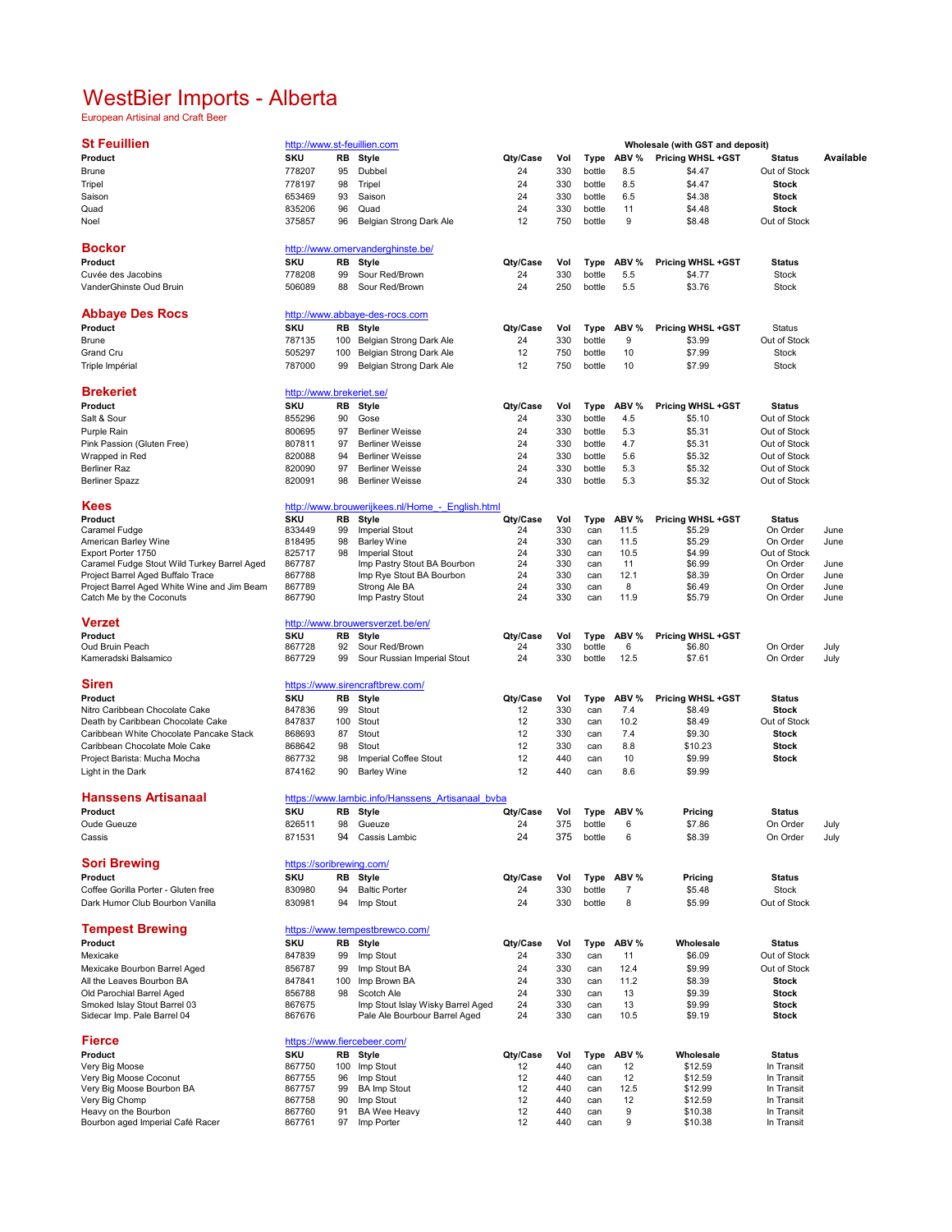## WestBier Imports - Alberta

European Artisinal and Craft Beer

| <b>St Feuillien</b>                                                              |                          |     | http://www.st-feuillien.com                             |          |            |            |            | Wholesale (with GST and deposit) |                      |              |
|----------------------------------------------------------------------------------|--------------------------|-----|---------------------------------------------------------|----------|------------|------------|------------|----------------------------------|----------------------|--------------|
| Product                                                                          | <b>SKU</b>               | RB  | Style                                                   | Qty/Case | Vol        | Type       | ABV %      | Pricing WHSL +GST                | <b>Status</b>        | Available    |
| <b>Brune</b>                                                                     | 778207                   | 95  | Dubbel                                                  | 24       | 330        | bottle     | 8.5        | \$4.47                           | Out of Stock         |              |
| Tripel                                                                           | 778197                   | 98  | Tripel                                                  | 24       | 330        | bottle     | 8.5        | \$4.47                           | <b>Stock</b>         |              |
| Saison                                                                           | 653469                   | 93  | Saison                                                  | 24       | 330        | bottle     | 6.5        | \$4.38                           | Stock                |              |
| Quad                                                                             | 835206                   | 96  | Quad                                                    | 24       | 330        | bottle     | 11         | \$4.48                           | Stock                |              |
| Noel                                                                             | 375857                   | 96  | Belgian Strong Dark Ale                                 | 12       | 750        | bottle     | 9          | \$8.48                           | Out of Stock         |              |
|                                                                                  |                          |     |                                                         |          |            |            |            |                                  |                      |              |
| <b>Bockor</b>                                                                    |                          |     | http://www.omervanderghinste.be/                        |          |            |            |            |                                  |                      |              |
| Product                                                                          | <b>SKU</b>               | RB  | Style                                                   | Qty/Case | Vol        | Type       | ABV %      | Pricing WHSL +GST                | <b>Status</b>        |              |
| Cuvée des Jacobins                                                               | 778208                   | 99  | Sour Red/Brown                                          | 24       | 330        | bottle     | 5.5        | \$4.77                           | <b>Stock</b>         |              |
| VanderGhinste Oud Bruin                                                          | 506089                   | 88  | Sour Red/Brown                                          | 24       | 250        | bottle     | 5.5        | \$3.76                           | <b>Stock</b>         |              |
|                                                                                  |                          |     |                                                         |          |            |            |            |                                  |                      |              |
| <b>Abbaye Des Rocs</b>                                                           |                          |     | http://www.abbaye-des-rocs.com                          |          |            |            |            |                                  |                      |              |
| Product                                                                          | <b>SKU</b>               | RB  | Style                                                   | Qty/Case | Vol        | Type       | ABV %      | Pricing WHSL +GST                | Status               |              |
| Brune                                                                            | 787135                   | 100 | Belgian Strong Dark Ale                                 | 24       | 330        | bottle     | 9          | \$3.99                           | Out of Stock         |              |
| Grand Cru                                                                        | 505297                   | 100 | Belgian Strong Dark Ale                                 | 12       | 750        | bottle     | 10         | \$7.99                           | <b>Stock</b>         |              |
|                                                                                  | 787000                   | 99  |                                                         | 12       | 750        | bottle     | 10         | \$7.99                           | Stock                |              |
| Triple Impérial                                                                  |                          |     | Belgian Strong Dark Ale                                 |          |            |            |            |                                  |                      |              |
| <b>Brekeriet</b>                                                                 | http://www.brekeriet.se/ |     |                                                         |          |            |            |            |                                  |                      |              |
|                                                                                  | <b>SKU</b>               |     |                                                         |          |            |            |            |                                  |                      |              |
| Product                                                                          |                          | RB  | Style                                                   | Qty/Case | Vol        | Type       | ABV %      | <b>Pricing WHSL +GST</b>         | <b>Status</b>        |              |
| Salt & Sour                                                                      | 855296                   | 90  | Gose                                                    | 24       | 330        | bottle     | 4.5        | \$5.10                           | Out of Stock         |              |
| Purple Rain                                                                      | 800695                   | 97  | <b>Berliner Weisse</b>                                  | 24       | 330        | bottle     | 5.3        | \$5.31                           | Out of Stock         |              |
| Pink Passion (Gluten Free)                                                       | 807811                   | 97  | <b>Berliner Weisse</b>                                  | 24       | 330        | bottle     | 4.7        | \$5.31                           | Out of Stock         |              |
| Wrapped in Red                                                                   | 820088                   | 94  | <b>Berliner Weisse</b>                                  | 24       | 330        | bottle     | 5.6        | \$5.32                           | Out of Stock         |              |
| Berliner Raz                                                                     | 820090                   | 97  | <b>Berliner Weisse</b>                                  | 24       | 330        | bottle     | 5.3        | \$5.32                           | Out of Stock         |              |
| <b>Berliner Spazz</b>                                                            | 820091                   | 98  | <b>Berliner Weisse</b>                                  | 24       | 330        | bottle     | 5.3        | \$5.32                           | Out of Stock         |              |
|                                                                                  |                          |     |                                                         |          |            |            |            |                                  |                      |              |
| Kees                                                                             |                          |     | http://www.brouwerijkees.nl/Home - English.html         |          |            |            |            |                                  |                      |              |
| Product                                                                          | SKU                      | RB  | <b>Style</b>                                            | Qty/Case | Vol        | Type       | ABV %      | Pricing WHSL +GST                | <b>Status</b>        |              |
| Caramel Fudge                                                                    | 833449                   | 99  | <b>Imperial Stout</b>                                   | 24       | 330        | can        | 11.5       | \$5.29                           | On Order             | June         |
| American Barley Wine                                                             | 818495                   | 98  | <b>Barley Wine</b>                                      | 24       | 330        | can        | 11.5       | \$5.29                           | On Order             | June         |
| Export Porter 1750                                                               | 825717                   | 98  | <b>Imperial Stout</b>                                   | 24<br>24 | 330<br>330 | can        | 10.5       | \$4.99                           | Out of Stock         |              |
| Caramel Fudge Stout Wild Turkey Barrel Aged<br>Project Barrel Aged Buffalo Trace | 867787<br>867788         |     | Imp Pastry Stout BA Bourbon<br>Imp Rye Stout BA Bourbon | 24       | 330        | can<br>can | 11<br>12.1 | \$6.99<br>\$8.39                 | On Order<br>On Order | June<br>June |
| Project Barrel Aged White Wine and Jim Beam                                      | 867789                   |     | Strong Ale BA                                           | 24       | 330        | can        | 8          | \$6.49                           | On Order             | June         |
| Catch Me by the Coconuts                                                         | 867790                   |     | Imp Pastry Stout                                        | 24       | 330        | can        | 11.9       | \$5.79                           | On Order             | June         |
|                                                                                  |                          |     |                                                         |          |            |            |            |                                  |                      |              |
| <b>Verzet</b>                                                                    |                          |     | http://www.brouwersverzet.be/en/                        |          |            |            |            |                                  |                      |              |
| Product                                                                          | <b>SKU</b>               | RB  | Style                                                   | Qty/Case | Vol        | Type       | ABV %      | Pricing WHSL +GST                |                      |              |
| Oud Bruin Peach                                                                  | 867728                   | 92  | Sour Red/Brown                                          | 24       | 330        | bottle     | 6          | \$6.80                           | On Order             | July         |
| Kameradski Balsamico                                                             | 867729                   | 99  | Sour Russian Imperial Stout                             | 24       | 330        | bottle     | 12.5       | \$7.61                           | On Order             | July         |
|                                                                                  |                          |     |                                                         |          |            |            |            |                                  |                      |              |
| <b>Siren</b>                                                                     |                          |     | https://www.sirencraftbrew.com/                         |          |            |            |            |                                  |                      |              |
| Product                                                                          | <b>SKU</b>               | RB  | Style                                                   | Qty/Case | Vol        | Type       | ABV %      | Pricing WHSL +GST                | <b>Status</b>        |              |
| Nitro Caribbean Chocolate Cake                                                   | 847836                   | 99  | Stout                                                   | 12       | 330        | can        | 7.4        | \$8.49                           | <b>Stock</b>         |              |
| Death by Caribbean Chocolate Cake                                                | 847837                   | 100 | Stout                                                   | 12       | 330        | can        | 10.2       | \$8.49                           | Out of Stock         |              |
| Caribbean White Chocolate Pancake Stack                                          | 868693                   | 87  | Stout                                                   | 12       | 330        | can        | 7.4        | \$9.30                           | <b>Stock</b>         |              |
| Caribbean Chocolate Mole Cake                                                    | 868642                   | 98  | Stout                                                   | 12       | 330        | can        | 8.8        | \$10.23                          | Stock                |              |
| Project Barista: Mucha Mocha                                                     | 867732                   | 98  | Imperial Coffee Stout                                   | 12       | 440        | can        | 10         | \$9.99                           | Stock                |              |
| Light in the Dark                                                                | 874162                   | 90  | <b>Barley Wine</b>                                      | 12       | 440        | can        | 8.6        | \$9.99                           |                      |              |
|                                                                                  |                          |     |                                                         |          |            |            |            |                                  |                      |              |
| Hanssens Artisanaal                                                              |                          |     | https://www.lambic.info/Hanssens Artisanaal byba        |          |            |            |            |                                  |                      |              |
| Product                                                                          | SKU                      | RB  | Style                                                   | Qty/Case | Vol        | Type       | ABV %      | Pricing                          | <b>Status</b>        |              |
| <b>Oude Gueuze</b>                                                               | 826511                   | 98  | Gueuze                                                  | 24       | 375        | bottle     | 6          | \$7.86                           | On Order             | July         |
| Cassis                                                                           | 871531                   | 94  | Cassis Lambic                                           | 24       | 375        | bottle     | 6          | \$8.39                           | On Order             | July         |
|                                                                                  |                          |     |                                                         |          |            |            |            |                                  |                      |              |
| <b>Sori Brewing</b>                                                              | https://soribrewing.com/ |     |                                                         |          |            |            |            |                                  |                      |              |
| Product                                                                          | SKU                      | RB  | Style                                                   | Qty/Case | Vol        | Type       | ABV %      | Pricing                          | <b>Status</b>        |              |
| Coffee Gorilla Porter - Gluten free                                              | 830980                   | 94  | <b>Baltic Porter</b>                                    | 24       | 330        | bottle     | 7          | \$5.48                           | <b>Stock</b>         |              |
| Dark Humor Club Bourbon Vanilla                                                  | 830981                   | 94  | Imp Stout                                               | 24       | 330        | bottle     | 8          | \$5.99                           | Out of Stock         |              |
|                                                                                  |                          |     |                                                         |          |            |            |            |                                  |                      |              |
| <b>Tempest Brewing</b>                                                           |                          |     | https://www.tempestbrewco.com/                          |          |            |            |            |                                  |                      |              |
| Product                                                                          | <b>SKU</b>               | RB  | Style                                                   | Qty/Case | Vol        | Type       | ABV %      | Wholesale                        | <b>Status</b>        |              |
| Mexicake                                                                         | 847839                   | 99  | Imp Stout                                               | 24       | 330        | can        | 11         | \$6.09                           | Out of Stock         |              |
| Mexicake Bourbon Barrel Aged                                                     | 856787                   | 99  | Imp Stout BA                                            | 24       | 330        | can        | 12.4       | \$9.99                           | Out of Stock         |              |
| All the Leaves Bourbon BA                                                        | 847841                   | 100 | Imp Brown BA                                            | 24       | 330        | can        | 11.2       | \$8.39                           | <b>Stock</b>         |              |
| Old Parochial Barrel Aged                                                        | 856788                   | 98  | Scotch Ale                                              | 24       | 330        | can        | 13         | \$9.39                           | Stock                |              |
| Smoked Islay Stout Barrel 03                                                     | 867675                   |     | Imp Stout Islay Wisky Barrel Aged                       | 24       | 330        | can        | 13         | \$9.99                           | <b>Stock</b>         |              |
| Sidecar Imp. Pale Barrel 04                                                      | 867676                   |     | Pale Ale Bourbour Barrel Aged                           | 24       | 330        | can        | 10.5       | \$9.19                           | <b>Stock</b>         |              |
|                                                                                  |                          |     |                                                         |          |            |            |            |                                  |                      |              |
| <b>Fierce</b>                                                                    |                          |     | https://www.fiercebeer.com/                             |          |            |            |            |                                  |                      |              |
| Product                                                                          | SKU                      | RB  | Style                                                   | Qty/Case | Vol        | Type       | ABV %      | Wholesale                        | <b>Status</b>        |              |
| Very Big Moose                                                                   | 867750                   | 100 | Imp Stout                                               | 12       | 440        | can        | 12         | \$12.59                          | In Transit           |              |
| Very Big Moose Coconut                                                           | 867755                   | 96  | Imp Stout                                               | 12       | 440        | can        | 12         | \$12.59                          | In Transit           |              |
| Very Big Moose Bourbon BA                                                        | 867757                   | 99  | <b>BA Imp Stout</b>                                     | 12       | 440        | can        | 12.5       | \$12.99                          | In Transit           |              |
| Very Big Chomp                                                                   | 867758                   | 90  | Imp Stout                                               | 12       | 440        | can        | 12         | \$12.59                          | In Transit           |              |
| Heavy on the Bourbon                                                             | 867760                   | 91  | <b>BA Wee Heavy</b>                                     | 12       | 440        | can        | 9          | \$10.38                          | In Transit           |              |
| Bourbon aged Imperial Café Racer                                                 | 867761                   | 97  | Imp Porter                                              | 12       | 440        | can        | 9          | \$10.38                          | In Transit           |              |